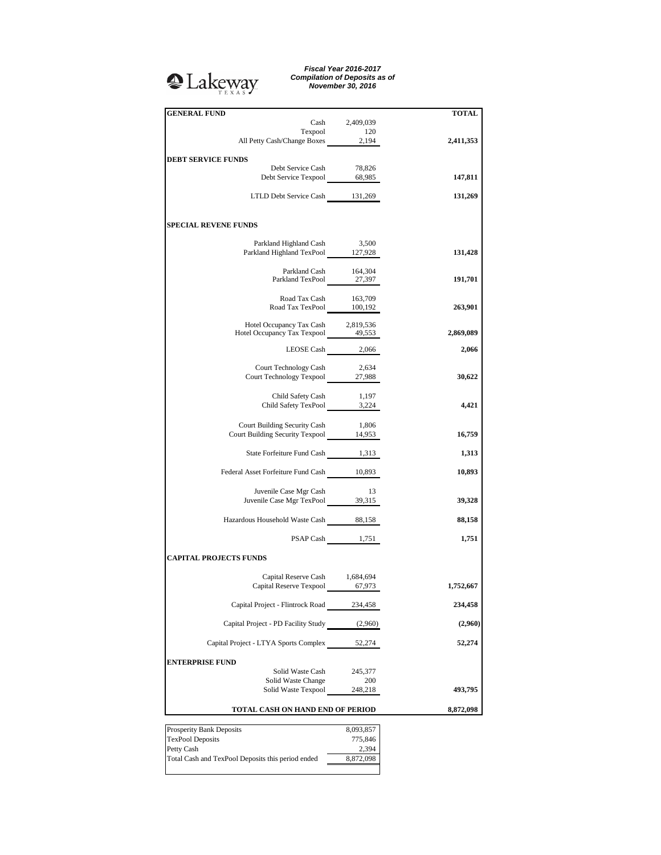## <sup>2</sup>Lakeway

*Fiscal Year 2016-2017 Compilation of Deposits as of November 30, 2016*

| <b>GENERAL FUND</b>                                                      | Cash 2,409,039     | <b>TOTAL</b> |
|--------------------------------------------------------------------------|--------------------|--------------|
|                                                                          |                    |              |
| Texpool 120<br>All Petty Cash/Change Boxes 2,194                         |                    | 2,411,353    |
| <b>DEBT SERVICE FUNDS</b>                                                |                    |              |
| Debt Service Cash                                                        | 78,826             |              |
| Debt Service Texpool 68,985                                              |                    | 147,811      |
|                                                                          |                    |              |
| LTLD Debt Service Cash 131,269                                           |                    | 131,269      |
|                                                                          |                    |              |
| <b>SPECIAL REVENE FUNDS</b>                                              |                    |              |
| Parkland Highland Cash 3,500                                             |                    |              |
| Parkland Highland TexPool 127,928                                        |                    | 131,428      |
|                                                                          |                    |              |
| Parkland Cash 164,304<br>Parkland TexPool 27,397                         |                    | 191,701      |
|                                                                          |                    |              |
| Road Tax Cash 163,709<br>Road Tax TexPool 100,192                        |                    |              |
|                                                                          |                    | 263,901      |
| Hotel Occupancy Tax Cash 2,819,536<br>Hotel Occupancy Tax Texpool 49,553 |                    |              |
|                                                                          |                    | 2,869,089    |
|                                                                          | LEOSE Cash $2,066$ | 2,066        |
|                                                                          |                    |              |
| Court Technology Cash<br>Court Technology Texpool 27,988                 | 2,634              | 30,622       |
|                                                                          |                    |              |
| Child Safety Cash                                                        | 1,197              |              |
| Child Safety TexPool $\frac{1,197}{3,224}$                               |                    | 4,421        |
| Court Building Security Cash 1,806                                       |                    |              |
| Court Building Security Texpool 14,953                                   |                    | 16,759       |
|                                                                          |                    |              |
| State Forfeiture Fund Cash 1,313                                         |                    | 1,313        |
| Federal Asset Forfeiture Fund Cash 10,893                                |                    | 10,893       |
|                                                                          |                    |              |
| Juvenile Case Mgr Cash 13<br>Juvenile Case Mgr TexPool 39,315            | 13                 |              |
|                                                                          |                    | 39,328       |
| Hazardous Household Waste Cash 88,158                                    |                    | 88,158       |
|                                                                          |                    |              |
|                                                                          | PSAP Cash 1,751    | 1,751        |
| <b>CAPITAL PROJECTS FUNDS</b>                                            |                    |              |
|                                                                          |                    |              |
| Capital Reserve Cash 1,684,694                                           |                    |              |
| Capital Reserve Texpool 67,973                                           |                    | 1,752,667    |
| Capital Project - Flintrock Road 234,458                                 |                    | 234,458      |
|                                                                          |                    |              |
| Capital Project - PD Facility Study (2,960)                              |                    | (2,960)      |
| Capital Project - LTYA Sports Complex                                    | 52,274             | 52,274       |
|                                                                          |                    |              |
| <b>ENTERPRISE FUND</b>                                                   |                    |              |
| Solid Waste Cash                                                         | 245,377            |              |
| Solid Waste Change<br>Solid Waste Texpool                                | 200<br>248,218     | 493,795      |
|                                                                          |                    |              |
| TOTAL CASH ON HAND END OF PERIOD                                         |                    | 8,872,098    |
| Prosperity Bank Deposits                                                 | 8,093,857          |              |
| <b>TexPool Deposits</b>                                                  | 775,846            |              |
| Petty Cash                                                               | 2,394              |              |
| Total Cash and TexPool Deposits this period ended                        | 8,872,098          |              |